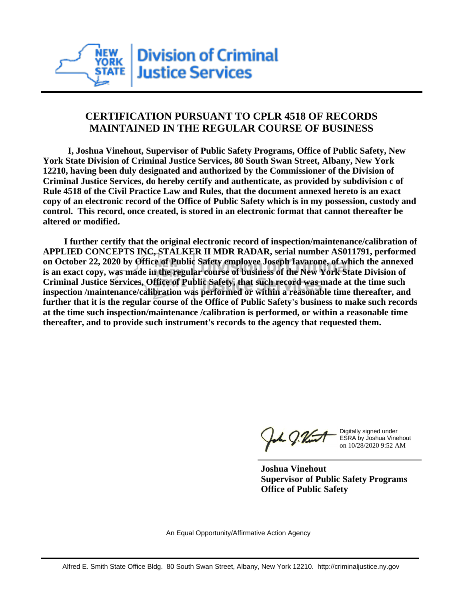

## **CERTIFICATION PURSUANT TO CPLR 4518 OF RECORDS MAINTAINED IN THE REGULAR COURSE OF BUSINESS**

 **I, Joshua Vinehout, Supervisor of Public Safety Programs, Office of Public Safety, New York State Division of Criminal Justice Services, 80 South Swan Street, Albany, New York 12210, having been duly designated and authorized by the Commissioner of the Division of Criminal Justice Services, do hereby certify and authenticate, as provided by subdivision c of Rule 4518 of the Civil Practice Law and Rules, that the document annexed hereto is an exact copy of an electronic record of the Office of Public Safety which is in my possession, custody and control. This record, once created, is stored in an electronic format that cannot thereafter be altered or modified.**

 **I further certify that the original electronic record of inspection/maintenance/calibration of APPLIED CONCEPTS INC, STALKER II MDR RADAR, serial number AS011791, performed on October 22, 2020 by Office of Public Safety employee Joseph Iavarone, of which the annexed is an exact copy, was made in the regular course of business of the New York State Division of Criminal Justice Services, Office of Public Safety, that such record was made at the time such inspection /maintenance/calibration was performed or within a reasonable time thereafter, and further that it is the regular course of the Office of Public Safety's business to make such records at the time such inspection/maintenance /calibration is performed, or within a reasonable time thereafter, and to provide such instrument's records to the agency that requested them.**

h J.Vint

Digitally signed under ESRA by Joshua Vinehout on 10/28/2020 9:52 AM

**Joshua Vinehout Supervisor of Public Safety Programs Office of Public Safety**

An Equal Opportunity/Affirmative Action Agency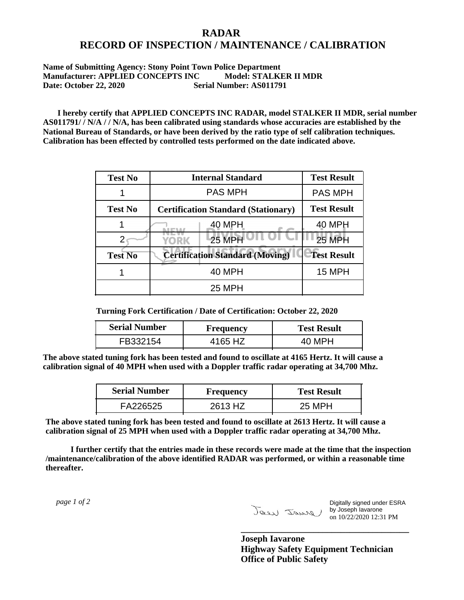## **RADAR RECORD OF INSPECTION / MAINTENANCE / CALIBRATION**

**Name of Submitting Agency: Stony Point Town Police Department Manufacturer: APPLIED CONCEPTS INC Model: STALKER II MDR Date: October 22, 2020 Serial Number: AS011791**

 **I hereby certify that APPLIED CONCEPTS INC RADAR, model STALKER II MDR, serial number AS011791/ / N/A / / N/A, has been calibrated using standards whose accuracies are established by the National Bureau of Standards, or have been derived by the ratio type of self calibration techniques. Calibration has been effected by controlled tests performed on the date indicated above.**

| <b>Test No</b> | <b>Internal Standard</b>                   | <b>Test Result</b> |
|----------------|--------------------------------------------|--------------------|
|                | <b>PAS MPH</b>                             | <b>PAS MPH</b>     |
| <b>Test No</b> | <b>Certification Standard (Stationary)</b> | <b>Test Result</b> |
|                | 40 MPH                                     | 40 MPH             |
|                | $25$ MPH<br>YORK                           | <b>25 MPH</b>      |
| <b>Test No</b> | <b>Certification Standard (Moving)</b>     | <b>Test Result</b> |
|                | <b>40 MPH</b>                              | <b>15 MPH</b>      |
|                | <b>25 MPH</b>                              |                    |

**Turning Fork Certification / Date of Certification: October 22, 2020**

| <b>Serial Number</b> | <b>Frequency</b> | <b>Test Result</b> |
|----------------------|------------------|--------------------|
| FB332154             | 4165 HZ          |                    |

**The above stated tuning fork has been tested and found to oscillate at 4165 Hertz. It will cause a calibration signal of 40 MPH when used with a Doppler traffic radar operating at 34,700 Mhz.**

| <b>Serial Number</b> | Frequency | <b>Test Result</b> |
|----------------------|-----------|--------------------|
| FA226525             | 2613 HZ   | 25 MPH             |

**The above stated tuning fork has been tested and found to oscillate at 2613 Hertz. It will cause a calibration signal of 25 MPH when used with a Doppler traffic radar operating at 34,700 Mhz.**

 **I further certify that the entries made in these records were made at the time that the inspection /maintenance/calibration of the above identified RADAR was performed, or within a reasonable time thereafter.**

 *page 1 of 2* 

Digitally signed under ESRA by Joseph Iavarone on 10/22/2020 12:31 PM

**Joseph Iavarone Highway Safety Equipment Technician Office of Public Safety**

**\_\_\_\_\_\_\_\_\_\_\_\_\_\_\_\_\_\_\_\_\_\_\_\_\_\_\_\_\_\_\_\_\_\_\_\_\_**